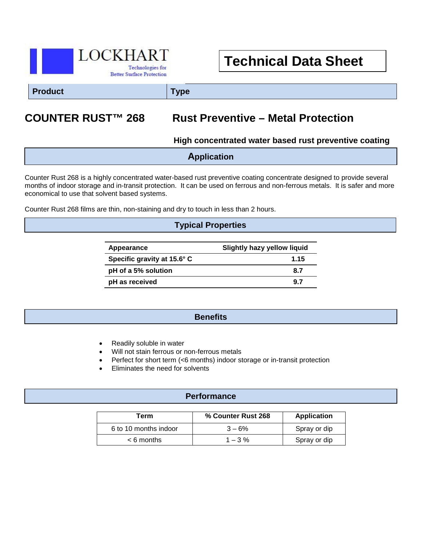

# **Technical Data Sheet**

**Product Type**

## **COUNTER RUST™ 268 Rust Preventive – Metal Protection**

**High concentrated water based rust preventive coating** 

| <b>Application</b> |  |
|--------------------|--|
|                    |  |

Counter Rust 268 is a highly concentrated water-based rust preventive coating concentrate designed to provide several months of indoor storage and in-transit protection. It can be used on ferrous and non-ferrous metals. It is safer and more economical to use that solvent based systems.

Counter Rust 268 films are thin, non-staining and dry to touch in less than 2 hours.

## **Typical Properties**

| Appearance                  | <b>Slightly hazy yellow liquid</b> |  |
|-----------------------------|------------------------------------|--|
| Specific gravity at 15.6° C | 1.15                               |  |
| pH of a 5% solution         | 8.7                                |  |
| pH as received              | 9.7                                |  |

## **Benefits**

- Readily soluble in water
- Will not stain ferrous or non-ferrous metals
- Perfect for short term (<6 months) indoor storage or in-transit protection
- Eliminates the need for solvents

## **Performance**

| Term                  | % Counter Rust 268 | <b>Application</b> |
|-----------------------|--------------------|--------------------|
| 6 to 10 months indoor | $3 - 6%$           | Spray or dip       |
| $< 6$ months          | $1 - 3\%$          | Spray or dip       |